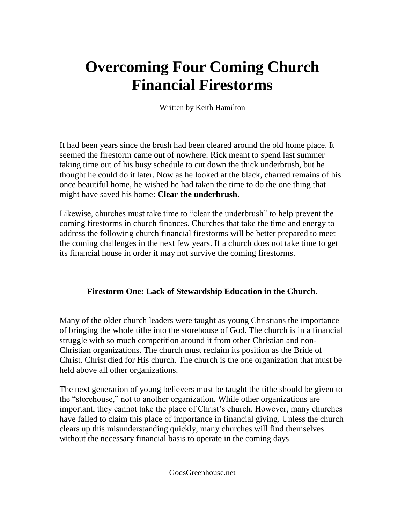# **Overcoming Four Coming Church Financial Firestorms**

Written by Keith Hamilton

It had been years since the brush had been cleared around the old home place. It seemed the firestorm came out of nowhere. Rick meant to spend last summer taking time out of his busy schedule to cut down the thick underbrush, but he thought he could do it later. Now as he looked at the black, charred remains of his once beautiful home, he wished he had taken the time to do the one thing that might have saved his home: **Clear the underbrush**.

Likewise, churches must take time to "clear the underbrush" to help prevent the coming firestorms in church finances. Churches that take the time and energy to address the following church financial firestorms will be better prepared to meet the coming challenges in the next few years. If a church does not take time to get its financial house in order it may not survive the coming firestorms.

# **Firestorm One: Lack of Stewardship Education in the Church.**

Many of the older church leaders were taught as young Christians the importance of bringing the whole tithe into the storehouse of God. The church is in a financial struggle with so much competition around it from other Christian and non-Christian organizations. The church must reclaim its position as the Bride of Christ. Christ died for His church. The church is the one organization that must be held above all other organizations.

The next generation of young believers must be taught the tithe should be given to the "storehouse," not to another organization. While other organizations are important, they cannot take the place of Christ's church. However, many churches have failed to claim this place of importance in financial giving. Unless the church clears up this misunderstanding quickly, many churches will find themselves without the necessary financial basis to operate in the coming days.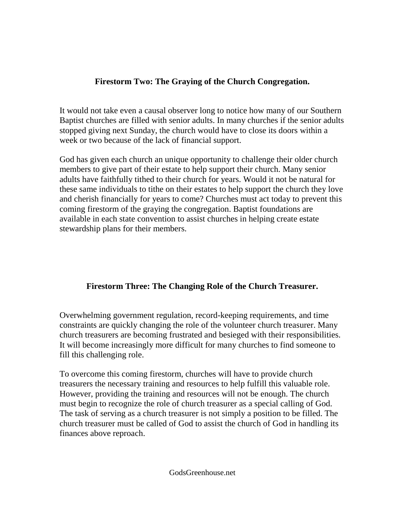### **Firestorm Two: The Graying of the Church Congregation.**

It would not take even a causal observer long to notice how many of our Southern Baptist churches are filled with senior adults. In many churches if the senior adults stopped giving next Sunday, the church would have to close its doors within a week or two because of the lack of financial support.

God has given each church an unique opportunity to challenge their older church members to give part of their estate to help support their church. Many senior adults have faithfully tithed to their church for years. Would it not be natural for these same individuals to tithe on their estates to help support the church they love and cherish financially for years to come? Churches must act today to prevent this coming firestorm of the graying the congregation. Baptist foundations are available in each state convention to assist churches in helping create estate stewardship plans for their members.

# **Firestorm Three: The Changing Role of the Church Treasurer.**

Overwhelming government regulation, record-keeping requirements, and time constraints are quickly changing the role of the volunteer church treasurer. Many church treasurers are becoming frustrated and besieged with their responsibilities. It will become increasingly more difficult for many churches to find someone to fill this challenging role.

To overcome this coming firestorm, churches will have to provide church treasurers the necessary training and resources to help fulfill this valuable role. However, providing the training and resources will not be enough. The church must begin to recognize the role of church treasurer as a special calling of God. The task of serving as a church treasurer is not simply a position to be filled. The church treasurer must be called of God to assist the church of God in handling its finances above reproach.